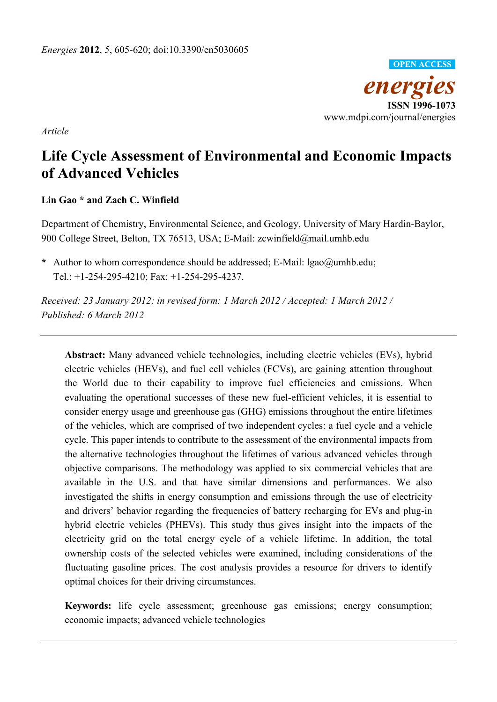

*Article* 

# **Life Cycle Assessment of Environmental and Economic Impacts of Advanced Vehicles**

# **Lin Gao \* and Zach C. Winfield**

Department of Chemistry, Environmental Science, and Geology, University of Mary Hardin-Baylor, 900 College Street, Belton, TX 76513, USA; E-Mail: zcwinfield@mail.umhb.edu

**\*** Author to whom correspondence should be addressed; E-Mail: lgao@umhb.edu; Tel.: +1-254-295-4210; Fax: +1-254-295-4237.

*Received: 23 January 2012; in revised form: 1 March 2012 / Accepted: 1 March 2012 / Published: 6 March 2012* 

**Abstract:** Many advanced vehicle technologies, including electric vehicles (EVs), hybrid electric vehicles (HEVs), and fuel cell vehicles (FCVs), are gaining attention throughout the World due to their capability to improve fuel efficiencies and emissions. When evaluating the operational successes of these new fuel-efficient vehicles, it is essential to consider energy usage and greenhouse gas (GHG) emissions throughout the entire lifetimes of the vehicles, which are comprised of two independent cycles: a fuel cycle and a vehicle cycle. This paper intends to contribute to the assessment of the environmental impacts from the alternative technologies throughout the lifetimes of various advanced vehicles through objective comparisons. The methodology was applied to six commercial vehicles that are available in the U.S. and that have similar dimensions and performances. We also investigated the shifts in energy consumption and emissions through the use of electricity and drivers' behavior regarding the frequencies of battery recharging for EVs and plug-in hybrid electric vehicles (PHEVs). This study thus gives insight into the impacts of the electricity grid on the total energy cycle of a vehicle lifetime. In addition, the total ownership costs of the selected vehicles were examined, including considerations of the fluctuating gasoline prices. The cost analysis provides a resource for drivers to identify optimal choices for their driving circumstances.

**Keywords:** life cycle assessment; greenhouse gas emissions; energy consumption; economic impacts; advanced vehicle technologies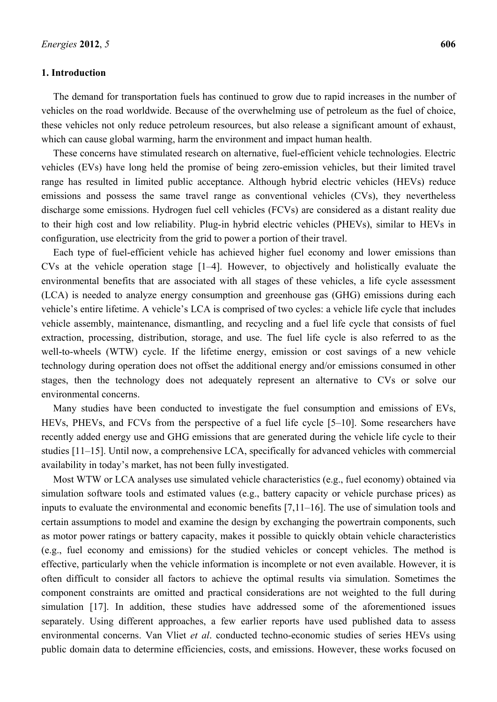## **1. Introduction**

The demand for transportation fuels has continued to grow due to rapid increases in the number of vehicles on the road worldwide. Because of the overwhelming use of petroleum as the fuel of choice, these vehicles not only reduce petroleum resources, but also release a significant amount of exhaust, which can cause global warming, harm the environment and impact human health.

These concerns have stimulated research on alternative, fuel-efficient vehicle technologies. Electric vehicles (EVs) have long held the promise of being zero-emission vehicles, but their limited travel range has resulted in limited public acceptance. Although hybrid electric vehicles (HEVs) reduce emissions and possess the same travel range as conventional vehicles (CVs), they nevertheless discharge some emissions. Hydrogen fuel cell vehicles (FCVs) are considered as a distant reality due to their high cost and low reliability. Plug-in hybrid electric vehicles (PHEVs), similar to HEVs in configuration, use electricity from the grid to power a portion of their travel.

Each type of fuel-efficient vehicle has achieved higher fuel economy and lower emissions than CVs at the vehicle operation stage [1–4]. However, to objectively and holistically evaluate the environmental benefits that are associated with all stages of these vehicles, a life cycle assessment (LCA) is needed to analyze energy consumption and greenhouse gas (GHG) emissions during each vehicle's entire lifetime. A vehicle's LCA is comprised of two cycles: a vehicle life cycle that includes vehicle assembly, maintenance, dismantling, and recycling and a fuel life cycle that consists of fuel extraction, processing, distribution, storage, and use. The fuel life cycle is also referred to as the well-to-wheels (WTW) cycle. If the lifetime energy, emission or cost savings of a new vehicle technology during operation does not offset the additional energy and/or emissions consumed in other stages, then the technology does not adequately represent an alternative to CVs or solve our environmental concerns.

Many studies have been conducted to investigate the fuel consumption and emissions of EVs, HEVs, PHEVs, and FCVs from the perspective of a fuel life cycle [5–10]. Some researchers have recently added energy use and GHG emissions that are generated during the vehicle life cycle to their studies [11–15]. Until now, a comprehensive LCA, specifically for advanced vehicles with commercial availability in today's market, has not been fully investigated.

Most WTW or LCA analyses use simulated vehicle characteristics (e.g., fuel economy) obtained via simulation software tools and estimated values (e.g., battery capacity or vehicle purchase prices) as inputs to evaluate the environmental and economic benefits [7,11–16]. The use of simulation tools and certain assumptions to model and examine the design by exchanging the powertrain components, such as motor power ratings or battery capacity, makes it possible to quickly obtain vehicle characteristics (e.g., fuel economy and emissions) for the studied vehicles or concept vehicles. The method is effective, particularly when the vehicle information is incomplete or not even available. However, it is often difficult to consider all factors to achieve the optimal results via simulation. Sometimes the component constraints are omitted and practical considerations are not weighted to the full during simulation [17]. In addition, these studies have addressed some of the aforementioned issues separately. Using different approaches, a few earlier reports have used published data to assess environmental concerns. Van Vliet *et al*. conducted techno-economic studies of series HEVs using public domain data to determine efficiencies, costs, and emissions. However, these works focused on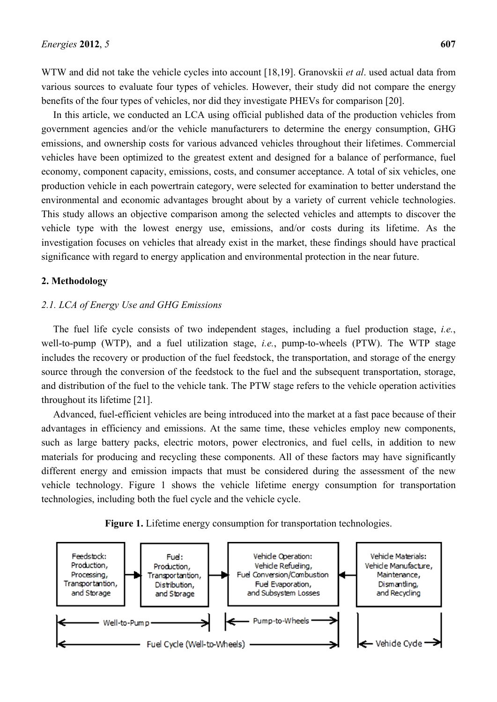WTW and did not take the vehicle cycles into account [18,19]. Granovskii *et al*. used actual data from various sources to evaluate four types of vehicles. However, their study did not compare the energy benefits of the four types of vehicles, nor did they investigate PHEVs for comparison [20].

In this article, we conducted an LCA using official published data of the production vehicles from government agencies and/or the vehicle manufacturers to determine the energy consumption, GHG emissions, and ownership costs for various advanced vehicles throughout their lifetimes. Commercial vehicles have been optimized to the greatest extent and designed for a balance of performance, fuel economy, component capacity, emissions, costs, and consumer acceptance. A total of six vehicles, one production vehicle in each powertrain category, were selected for examination to better understand the environmental and economic advantages brought about by a variety of current vehicle technologies. This study allows an objective comparison among the selected vehicles and attempts to discover the vehicle type with the lowest energy use, emissions, and/or costs during its lifetime. As the investigation focuses on vehicles that already exist in the market, these findings should have practical significance with regard to energy application and environmental protection in the near future.

## **2. Methodology**

### *2.1. LCA of Energy Use and GHG Emissions*

The fuel life cycle consists of two independent stages, including a fuel production stage, *i.e.*, well-to-pump (WTP), and a fuel utilization stage, *i.e.*, pump-to-wheels (PTW). The WTP stage includes the recovery or production of the fuel feedstock, the transportation, and storage of the energy source through the conversion of the feedstock to the fuel and the subsequent transportation, storage, and distribution of the fuel to the vehicle tank. The PTW stage refers to the vehicle operation activities throughout its lifetime [21].

Advanced, fuel-efficient vehicles are being introduced into the market at a fast pace because of their advantages in efficiency and emissions. At the same time, these vehicles employ new components, such as large battery packs, electric motors, power electronics, and fuel cells, in addition to new materials for producing and recycling these components. All of these factors may have significantly different energy and emission impacts that must be considered during the assessment of the new vehicle technology. Figure 1 shows the vehicle lifetime energy consumption for transportation technologies, including both the fuel cycle and the vehicle cycle.



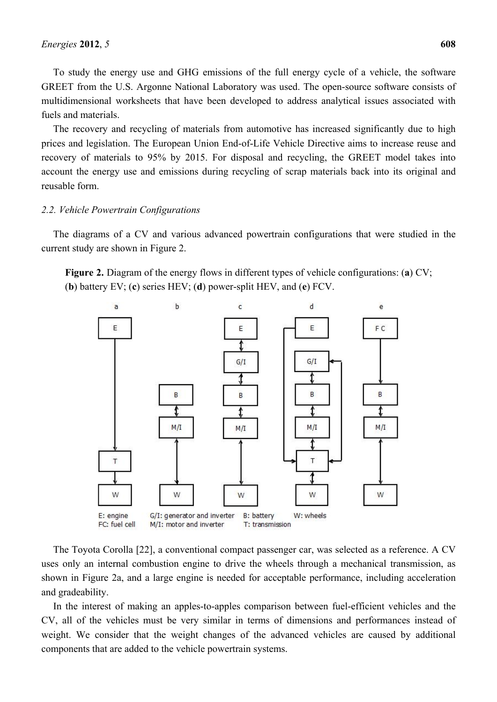To study the energy use and GHG emissions of the full energy cycle of a vehicle, the software GREET from the U.S. Argonne National Laboratory was used. The open-source software consists of multidimensional worksheets that have been developed to address analytical issues associated with fuels and materials.

The recovery and recycling of materials from automotive has increased significantly due to high prices and legislation. The European Union End-of-Life Vehicle Directive aims to increase reuse and recovery of materials to 95% by 2015. For disposal and recycling, the GREET model takes into account the energy use and emissions during recycling of scrap materials back into its original and reusable form.

## *2.2. Vehicle Powertrain Configurations*

The diagrams of a CV and various advanced powertrain configurations that were studied in the current study are shown in Figure 2.

**Figure 2.** Diagram of the energy flows in different types of vehicle configurations: (**a**) CV; (**b**) battery EV; (**c**) series HEV; (**d**) power-split HEV, and (**e**) FCV.



The Toyota Corolla [22], a conventional compact passenger car, was selected as a reference. A CV uses only an internal combustion engine to drive the wheels through a mechanical transmission, as shown in Figure 2a, and a large engine is needed for acceptable performance, including acceleration and gradeability.

In the interest of making an apples-to-apples comparison between fuel-efficient vehicles and the CV, all of the vehicles must be very similar in terms of dimensions and performances instead of weight. We consider that the weight changes of the advanced vehicles are caused by additional components that are added to the vehicle powertrain systems.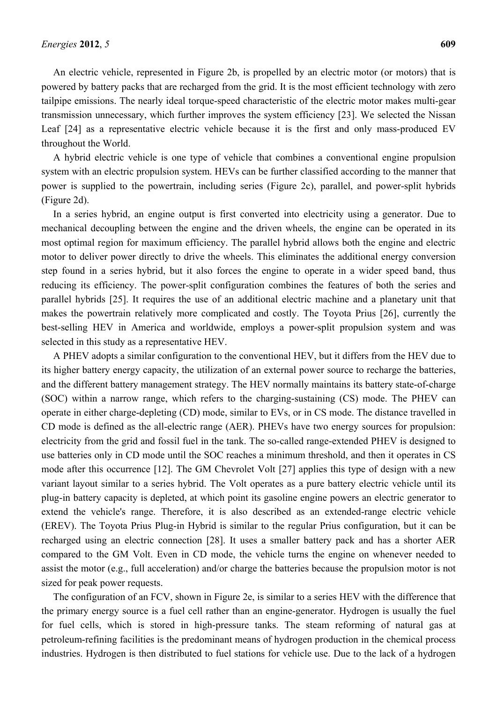An electric vehicle, represented in Figure 2b, is propelled by an electric motor (or motors) that is powered by battery packs that are recharged from the grid. It is the most efficient technology with zero tailpipe emissions. The nearly ideal torque-speed characteristic of the electric motor makes multi-gear transmission unnecessary, which further improves the system efficiency [23]. We selected the Nissan Leaf [24] as a representative electric vehicle because it is the first and only mass-produced EV throughout the World.

A hybrid electric vehicle is one type of vehicle that combines a conventional engine propulsion system with an electric propulsion system. HEVs can be further classified according to the manner that power is supplied to the powertrain, including series (Figure 2c), parallel, and power-split hybrids (Figure 2d).

In a series hybrid, an engine output is first converted into electricity using a generator. Due to mechanical decoupling between the engine and the driven wheels, the engine can be operated in its most optimal region for maximum efficiency. The parallel hybrid allows both the engine and electric motor to deliver power directly to drive the wheels. This eliminates the additional energy conversion step found in a series hybrid, but it also forces the engine to operate in a wider speed band, thus reducing its efficiency. The power-split configuration combines the features of both the series and parallel hybrids [25]. It requires the use of an additional electric machine and a planetary unit that makes the powertrain relatively more complicated and costly. The Toyota Prius [26], currently the best-selling HEV in America and worldwide, employs a power-split propulsion system and was selected in this study as a representative HEV.

A PHEV adopts a similar configuration to the conventional HEV, but it differs from the HEV due to its higher battery energy capacity, the utilization of an external power source to recharge the batteries, and the different battery management strategy. The HEV normally maintains its battery state-of-charge (SOC) within a narrow range, which refers to the charging-sustaining (CS) mode. The PHEV can operate in either charge-depleting (CD) mode, similar to EVs, or in CS mode. The distance travelled in CD mode is defined as the all-electric range (AER). PHEVs have two energy sources for propulsion: electricity from the grid and fossil fuel in the tank. The so-called range-extended PHEV is designed to use batteries only in CD mode until the SOC reaches a minimum threshold, and then it operates in CS mode after this occurrence [12]. The GM Chevrolet Volt [27] applies this type of design with a new variant layout similar to a series hybrid. The Volt operates as a pure battery electric vehicle until its plug-in battery capacity is depleted, at which point its gasoline engine powers an electric generator to extend the vehicle's range. Therefore, it is also described as an extended-range electric vehicle (EREV). The Toyota Prius Plug-in Hybrid is similar to the regular Prius configuration, but it can be recharged using an electric connection [28]. It uses a smaller battery pack and has a shorter AER compared to the GM Volt. Even in CD mode, the vehicle turns the engine on whenever needed to assist the motor (e.g., full acceleration) and/or charge the batteries because the propulsion motor is not sized for peak power requests.

The configuration of an FCV, shown in Figure 2e, is similar to a series HEV with the difference that the primary energy source is a fuel cell rather than an engine-generator. Hydrogen is usually the fuel for fuel cells, which is stored in high-pressure tanks. The steam reforming of natural gas at petroleum-refining facilities is the predominant means of hydrogen production in the chemical process industries. Hydrogen is then distributed to fuel stations for vehicle use. Due to the lack of a hydrogen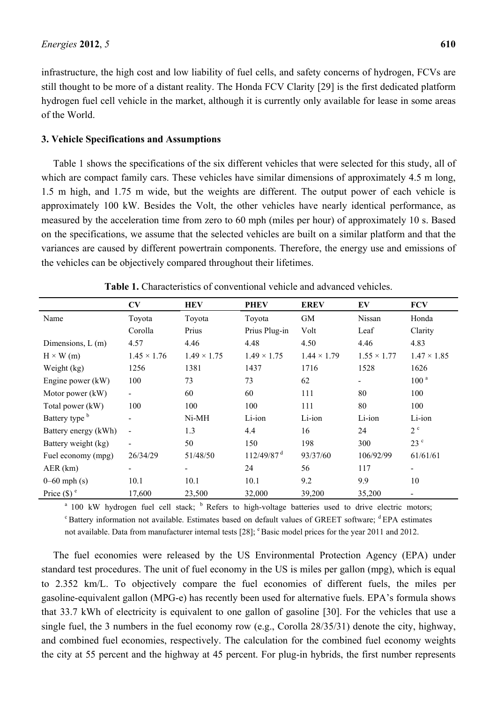infrastructure, the high cost and low liability of fuel cells, and safety concerns of hydrogen, FCVs are still thought to be more of a distant reality. The Honda FCV Clarity [29] is the first dedicated platform hydrogen fuel cell vehicle in the market, although it is currently only available for lease in some areas of the World.

#### **3. Vehicle Specifications and Assumptions**

Table 1 shows the specifications of the six different vehicles that were selected for this study, all of which are compact family cars. These vehicles have similar dimensions of approximately 4.5 m long, 1.5 m high, and 1.75 m wide, but the weights are different. The output power of each vehicle is approximately 100 kW. Besides the Volt, the other vehicles have nearly identical performance, as measured by the acceleration time from zero to 60 mph (miles per hour) of approximately 10 s. Based on the specifications, we assume that the selected vehicles are built on a similar platform and that the variances are caused by different powertrain components. Therefore, the energy use and emissions of the vehicles can be objectively compared throughout their lifetimes.

|                           | CV                       | <b>HEV</b>         | <b>PHEV</b>              | <b>EREV</b>        | EV                 | <b>FCV</b>         |
|---------------------------|--------------------------|--------------------|--------------------------|--------------------|--------------------|--------------------|
| Name                      | Toyota                   | Toyota             | Toyota                   | <b>GM</b>          | Nissan             | Honda              |
|                           | Corolla                  | Prius              | Prius Plug-in            | Volt               | Leaf               | Clarity            |
| Dimensions, $L(m)$        | 4.57                     | 4.46               | 4.48                     | 4.50               | 4.46               | 4.83               |
| $H \times W$ (m)          | $1.45 \times 1.76$       | $1.49 \times 1.75$ | $1.49 \times 1.75$       | $1.44 \times 1.79$ | $1.55 \times 1.77$ | $1.47 \times 1.85$ |
| Weight (kg)               | 1256                     | 1381               | 1437                     | 1716               | 1528               | 1626               |
| Engine power (kW)         | 100                      | 73                 | 73                       | 62                 | -                  | 100 <sup>a</sup>   |
| Motor power (kW)          | -                        | 60                 | 60                       | 111                | 80                 | 100                |
| Total power (kW)          | 100                      | 100                | 100                      | 111                | 80                 | 100                |
| Battery type b            |                          | Ni-MH              | Li-ion                   | Li-ion             | Li-ion             | Li-ion             |
| Battery energy (kWh)      | $\overline{\phantom{a}}$ | 1.3                | 4.4                      | 16                 | 24                 | $2^{\circ}$        |
| Battery weight (kg)       | -                        | 50                 | 150                      | 198                | 300                | 23 <sup>c</sup>    |
| Fuel economy (mpg)        | 26/34/29                 | 51/48/50           | $112/49/87$ <sup>d</sup> | 93/37/60           | 106/92/99          | 61/61/61           |
| AER(km)                   |                          |                    | 24                       | 56                 | 117                |                    |
| $0 - 60$ mph $(s)$        | 10.1                     | 10.1               | 10.1                     | 9.2                | 9.9                | 10                 |
| Price $(\$)$ <sup>e</sup> | 17,600                   | 23,500             | 32,000                   | 39,200             | 35,200             |                    |

**Table 1.** Characteristics of conventional vehicle and advanced vehicles.

<sup>a</sup> 100 kW hydrogen fuel cell stack;  $\overline{b}$  Refers to high-voltage batteries used to drive electric motors; <sup>c</sup> Battery information not available. Estimates based on default values of GREET software; <sup>d</sup> EPA estimates not available. Data from manufacturer internal tests [28]; <sup>e</sup> Basic model prices for the year 2011 and 2012.

The fuel economies were released by the US Environmental Protection Agency (EPA) under standard test procedures. The unit of fuel economy in the US is miles per gallon (mpg), which is equal to 2.352 km/L. To objectively compare the fuel economies of different fuels, the miles per gasoline-equivalent gallon (MPG-e) has recently been used for alternative fuels. EPA's formula shows that 33.7 kWh of electricity is equivalent to one gallon of gasoline [30]. For the vehicles that use a single fuel, the 3 numbers in the fuel economy row (e.g., Corolla 28/35/31) denote the city, highway, and combined fuel economies, respectively. The calculation for the combined fuel economy weights the city at 55 percent and the highway at 45 percent. For plug-in hybrids, the first number represents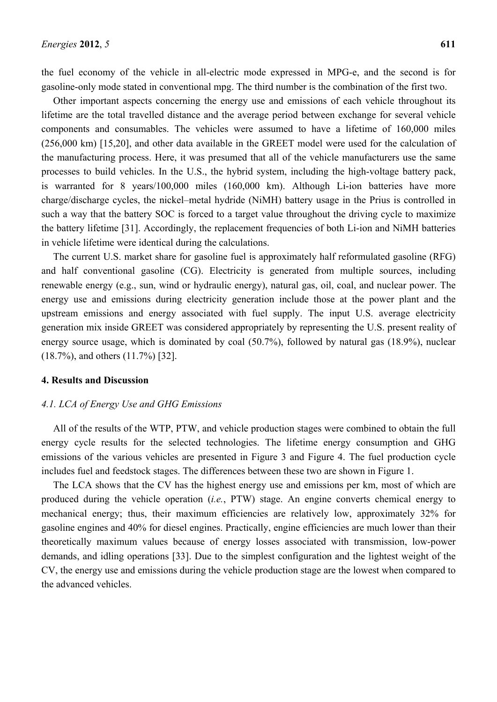the fuel economy of the vehicle in all-electric mode expressed in MPG-e, and the second is for gasoline-only mode stated in conventional mpg. The third number is the combination of the first two.

Other important aspects concerning the energy use and emissions of each vehicle throughout its lifetime are the total travelled distance and the average period between exchange for several vehicle components and consumables. The vehicles were assumed to have a lifetime of 160,000 miles (256,000 km) [15,20], and other data available in the GREET model were used for the calculation of the manufacturing process. Here, it was presumed that all of the vehicle manufacturers use the same processes to build vehicles. In the U.S., the hybrid system, including the high-voltage battery pack, is warranted for 8 years/100,000 miles (160,000 km). Although Li-ion batteries have more charge/discharge cycles, the nickel–metal hydride (NiMH) battery usage in the Prius is controlled in such a way that the battery SOC is forced to a target value throughout the driving cycle to maximize the battery lifetime [31]. Accordingly, the replacement frequencies of both Li-ion and NiMH batteries in vehicle lifetime were identical during the calculations.

The current U.S. market share for gasoline fuel is approximately half reformulated gasoline (RFG) and half conventional gasoline (CG). Electricity is generated from multiple sources, including renewable energy (e.g., sun, wind or hydraulic energy), natural gas, oil, coal, and nuclear power. The energy use and emissions during electricity generation include those at the power plant and the upstream emissions and energy associated with fuel supply. The input U.S. average electricity generation mix inside GREET was considered appropriately by representing the U.S. present reality of energy source usage, which is dominated by coal (50.7%), followed by natural gas (18.9%), nuclear (18.7%), and others (11.7%) [32].

## **4. Results and Discussion**

### *4.1. LCA of Energy Use and GHG Emissions*

All of the results of the WTP, PTW, and vehicle production stages were combined to obtain the full energy cycle results for the selected technologies. The lifetime energy consumption and GHG emissions of the various vehicles are presented in Figure 3 and Figure 4. The fuel production cycle includes fuel and feedstock stages. The differences between these two are shown in Figure 1.

The LCA shows that the CV has the highest energy use and emissions per km, most of which are produced during the vehicle operation (*i.e.*, PTW) stage. An engine converts chemical energy to mechanical energy; thus, their maximum efficiencies are relatively low, approximately 32% for gasoline engines and 40% for diesel engines. Practically, engine efficiencies are much lower than their theoretically maximum values because of energy losses associated with transmission, low-power demands, and idling operations [33]. Due to the simplest configuration and the lightest weight of the CV, the energy use and emissions during the vehicle production stage are the lowest when compared to the advanced vehicles.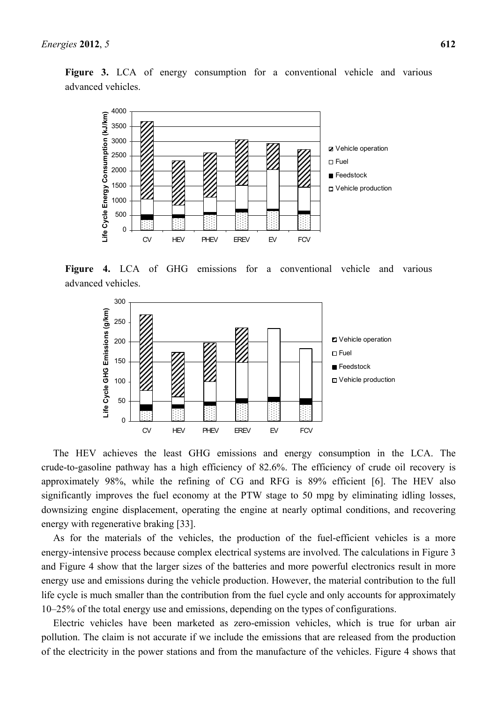Figure 3. LCA of energy consumption for a conventional vehicle and various advanced vehicles.



**Figure 4.** LCA of GHG emissions for a conventional vehicle and various advanced vehicles.



The HEV achieves the least GHG emissions and energy consumption in the LCA. The crude-to-gasoline pathway has a high efficiency of 82.6%. The efficiency of crude oil recovery is approximately 98%, while the refining of CG and RFG is 89% efficient [6]. The HEV also significantly improves the fuel economy at the PTW stage to 50 mpg by eliminating idling losses, downsizing engine displacement, operating the engine at nearly optimal conditions, and recovering energy with regenerative braking [33].

As for the materials of the vehicles, the production of the fuel-efficient vehicles is a more energy-intensive process because complex electrical systems are involved. The calculations in Figure 3 and Figure 4 show that the larger sizes of the batteries and more powerful electronics result in more energy use and emissions during the vehicle production. However, the material contribution to the full life cycle is much smaller than the contribution from the fuel cycle and only accounts for approximately 10–25% of the total energy use and emissions, depending on the types of configurations.

Electric vehicles have been marketed as zero-emission vehicles, which is true for urban air pollution. The claim is not accurate if we include the emissions that are released from the production of the electricity in the power stations and from the manufacture of the vehicles. Figure 4 shows that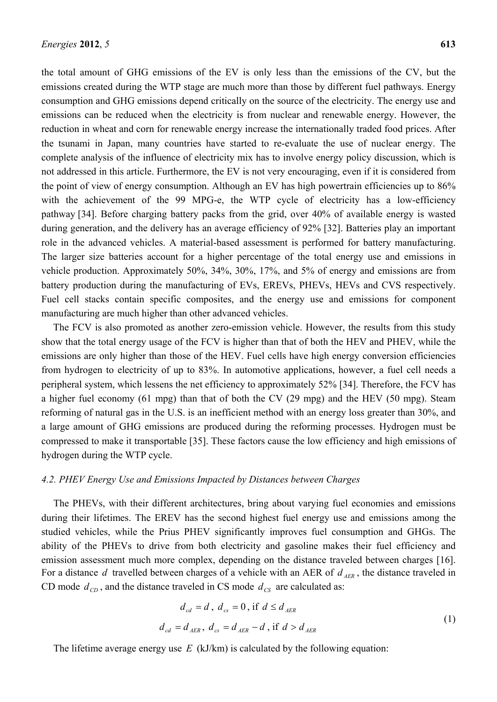the total amount of GHG emissions of the EV is only less than the emissions of the CV, but the emissions created during the WTP stage are much more than those by different fuel pathways. Energy consumption and GHG emissions depend critically on the source of the electricity. The energy use and emissions can be reduced when the electricity is from nuclear and renewable energy. However, the reduction in wheat and corn for renewable energy increase the internationally traded food prices. After the tsunami in Japan, many countries have started to re-evaluate the use of nuclear energy. The complete analysis of the influence of electricity mix has to involve energy policy discussion, which is not addressed in this article. Furthermore, the EV is not very encouraging, even if it is considered from the point of view of energy consumption. Although an EV has high powertrain efficiencies up to 86% with the achievement of the 99 MPG-e, the WTP cycle of electricity has a low-efficiency pathway [34]. Before charging battery packs from the grid, over 40% of available energy is wasted during generation, and the delivery has an average efficiency of 92% [32]. Batteries play an important role in the advanced vehicles. A material-based assessment is performed for battery manufacturing. The larger size batteries account for a higher percentage of the total energy use and emissions in vehicle production. Approximately 50%, 34%, 30%, 17%, and 5% of energy and emissions are from battery production during the manufacturing of EVs, EREVs, PHEVs, HEVs and CVS respectively. Fuel cell stacks contain specific composites, and the energy use and emissions for component manufacturing are much higher than other advanced vehicles.

The FCV is also promoted as another zero-emission vehicle. However, the results from this study show that the total energy usage of the FCV is higher than that of both the HEV and PHEV, while the emissions are only higher than those of the HEV. Fuel cells have high energy conversion efficiencies from hydrogen to electricity of up to 83%. In automotive applications, however, a fuel cell needs a peripheral system, which lessens the net efficiency to approximately 52% [34]. Therefore, the FCV has a higher fuel economy (61 mpg) than that of both the CV (29 mpg) and the HEV (50 mpg). Steam reforming of natural gas in the U.S. is an inefficient method with an energy loss greater than 30%, and a large amount of GHG emissions are produced during the reforming processes. Hydrogen must be compressed to make it transportable [35]. These factors cause the low efficiency and high emissions of hydrogen during the WTP cycle.

## *4.2. PHEV Energy Use and Emissions Impacted by Distances between Charges*

The PHEVs, with their different architectures, bring about varying fuel economies and emissions during their lifetimes. The EREV has the second highest fuel energy use and emissions among the studied vehicles, while the Prius PHEV significantly improves fuel consumption and GHGs. The ability of the PHEVs to drive from both electricity and gasoline makes their fuel efficiency and emission assessment much more complex, depending on the distance traveled between charges [16]. For a distance *d* travelled between charges of a vehicle with an AER of  $d_{AFR}$ , the distance traveled in CD mode  $d_{CD}$ , and the distance traveled in CS mode  $d_{CS}$  are calculated as:

$$
d_{cd} = d, d_{cs} = 0, \text{ if } d \le d_{AER}
$$
  

$$
d_{cd} = d_{AER}, d_{cs} = d_{AER} - d, \text{ if } d > d_{AER}
$$
 (1)

The lifetime average energy use *E* (kJ/km) is calculated by the following equation: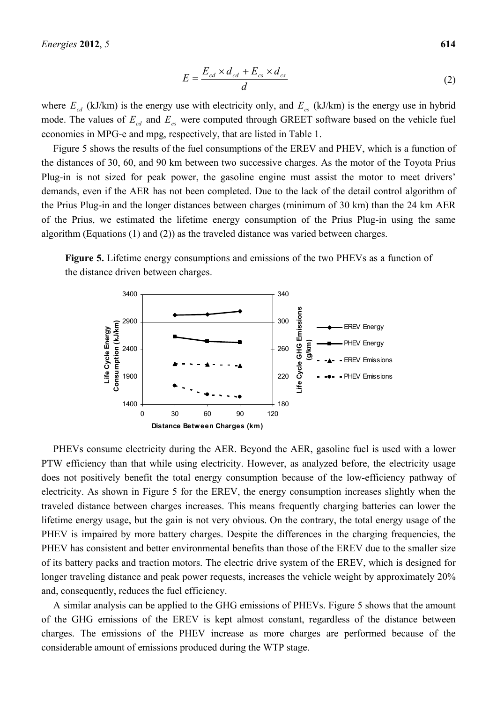$$
E = \frac{E_{cd} \times d_{cd} + E_{cs} \times d_{cs}}{d}
$$
 (2)

where  $E_{cd}$  (kJ/km) is the energy use with electricity only, and  $E_{cs}$  (kJ/km) is the energy use in hybrid mode. The values of  $E_{cd}$  and  $E_{cs}$  were computed through GREET software based on the vehicle fuel economies in MPG-e and mpg, respectively, that are listed in Table 1.

Figure 5 shows the results of the fuel consumptions of the EREV and PHEV, which is a function of the distances of 30, 60, and 90 km between two successive charges. As the motor of the Toyota Prius Plug-in is not sized for peak power, the gasoline engine must assist the motor to meet drivers' demands, even if the AER has not been completed. Due to the lack of the detail control algorithm of the Prius Plug-in and the longer distances between charges (minimum of 30 km) than the 24 km AER of the Prius, we estimated the lifetime energy consumption of the Prius Plug-in using the same algorithm (Equations (1) and (2)) as the traveled distance was varied between charges.

**Figure 5.** Lifetime energy consumptions and emissions of the two PHEVs as a function of the distance driven between charges.



PHEVs consume electricity during the AER. Beyond the AER, gasoline fuel is used with a lower PTW efficiency than that while using electricity. However, as analyzed before, the electricity usage does not positively benefit the total energy consumption because of the low-efficiency pathway of electricity. As shown in Figure 5 for the EREV, the energy consumption increases slightly when the traveled distance between charges increases. This means frequently charging batteries can lower the lifetime energy usage, but the gain is not very obvious. On the contrary, the total energy usage of the PHEV is impaired by more battery charges. Despite the differences in the charging frequencies, the PHEV has consistent and better environmental benefits than those of the EREV due to the smaller size of its battery packs and traction motors. The electric drive system of the EREV, which is designed for longer traveling distance and peak power requests, increases the vehicle weight by approximately 20% and, consequently, reduces the fuel efficiency.

A similar analysis can be applied to the GHG emissions of PHEVs. Figure 5 shows that the amount of the GHG emissions of the EREV is kept almost constant, regardless of the distance between charges. The emissions of the PHEV increase as more charges are performed because of the considerable amount of emissions produced during the WTP stage.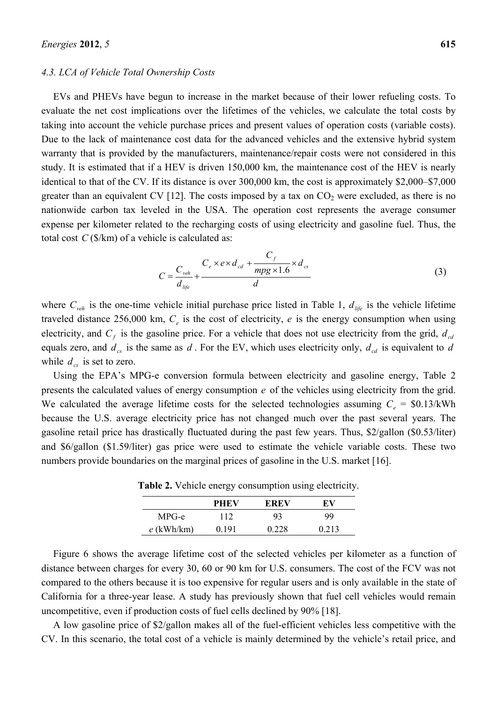#### *4.3. LCA of Vehicle Total Ownership Costs*

EVs and PHEVs have begun to increase in the market because of their lower refueling costs. To evaluate the net cost implications over the lifetimes of the vehicles, we calculate the total costs by taking into account the vehicle purchase prices and present values of operation costs (variable costs). Due to the lack of maintenance cost data for the advanced vehicles and the extensive hybrid system warranty that is provided by the manufacturers, maintenance/repair costs were not considered in this study. It is estimated that if a HEV is driven 150,000 km, the maintenance cost of the HEV is nearly identical to that of the CV. If its distance is over 300,000 km, the cost is approximately \$2,000–\$7,000 greater than an equivalent CV [12]. The costs imposed by a tax on  $CO<sub>2</sub>$  were excluded, as there is no nationwide carbon tax leveled in the USA. The operation cost represents the average consumer expense per kilometer related to the recharging costs of using electricity and gasoline fuel. Thus, the total cost  $C$  ( $\frac{C}{k}$ km) of a vehicle is calculated as:

$$
C = \frac{C_{veh}}{d_{life}} + \frac{C_e \times e \times d_{cd} + \frac{C_f}{mpg \times 1.6} \times d_{cs}}{d}
$$
(3)

where  $C_{veh}$  is the one-time vehicle initial purchase price listed in Table 1,  $d_{life}$  is the vehicle lifetime traveled distance 256,000 km,  $C_e$  is the cost of electricity,  $e$  is the energy consumption when using electricity, and  $C_f$  is the gasoline price. For a vehicle that does not use electricity from the grid,  $d_{cd}$ equals zero, and  $d_{cs}$  is the same as  $d$ . For the EV, which uses electricity only,  $d_{cd}$  is equivalent to  $d$ while  $d_{cs}$  is set to zero.

Using the EPA's MPG-e conversion formula between electricity and gasoline energy, Table 2 presents the calculated values of energy consumption *e* of the vehicles using electricity from the grid. We calculated the average lifetime costs for the selected technologies assuming  $C_e = $0.13/\text{kWh}}$ because the U.S. average electricity price has not changed much over the past several years. The gasoline retail price has drastically fluctuated during the past few years. Thus, \$2/gallon (\$0.53/liter) and \$6/gallon (\$1.59/liter) gas price were used to estimate the vehicle variable costs. These two numbers provide boundaries on the marginal prices of gasoline in the U.S. market [16].

|              | <b>PHEV</b> | EREV  | EV    |
|--------------|-------------|-------|-------|
| MPG-e        | 112         | 93    | 99    |
| $e$ (kWh/km) | 0 191       | 0.228 | 0.213 |

**Table 2.** Vehicle energy consumption using electricity.

Figure 6 shows the average lifetime cost of the selected vehicles per kilometer as a function of distance between charges for every 30, 60 or 90 km for U.S. consumers. The cost of the FCV was not compared to the others because it is too expensive for regular users and is only available in the state of California for a three-year lease. A study has previously shown that fuel cell vehicles would remain uncompetitive, even if production costs of fuel cells declined by 90% [18].

A low gasoline price of \$2/gallon makes all of the fuel-efficient vehicles less competitive with the CV. In this scenario, the total cost of a vehicle is mainly determined by the vehicle's retail price, and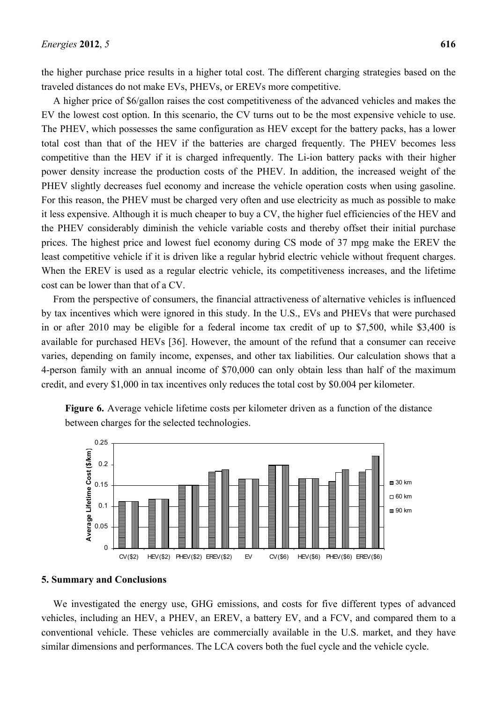the higher purchase price results in a higher total cost. The different charging strategies based on the traveled distances do not make EVs, PHEVs, or EREVs more competitive.

A higher price of \$6/gallon raises the cost competitiveness of the advanced vehicles and makes the EV the lowest cost option. In this scenario, the CV turns out to be the most expensive vehicle to use. The PHEV, which possesses the same configuration as HEV except for the battery packs, has a lower total cost than that of the HEV if the batteries are charged frequently. The PHEV becomes less competitive than the HEV if it is charged infrequently. The Li-ion battery packs with their higher power density increase the production costs of the PHEV. In addition, the increased weight of the PHEV slightly decreases fuel economy and increase the vehicle operation costs when using gasoline. For this reason, the PHEV must be charged very often and use electricity as much as possible to make it less expensive. Although it is much cheaper to buy a CV, the higher fuel efficiencies of the HEV and the PHEV considerably diminish the vehicle variable costs and thereby offset their initial purchase prices. The highest price and lowest fuel economy during CS mode of 37 mpg make the EREV the least competitive vehicle if it is driven like a regular hybrid electric vehicle without frequent charges. When the EREV is used as a regular electric vehicle, its competitiveness increases, and the lifetime cost can be lower than that of a CV.

From the perspective of consumers, the financial attractiveness of alternative vehicles is influenced by tax incentives which were ignored in this study. In the U.S., EVs and PHEVs that were purchased in or after 2010 may be eligible for a federal income tax credit of up to \$7,500, while \$3,400 is available for purchased HEVs [36]. However, the amount of the refund that a consumer can receive varies, depending on family income, expenses, and other tax liabilities. Our calculation shows that a 4-person family with an annual income of \$70,000 can only obtain less than half of the maximum credit, and every \$1,000 in tax incentives only reduces the total cost by \$0.004 per kilometer.

**Figure 6.** Average vehicle lifetime costs per kilometer driven as a function of the distance between charges for the selected technologies.



#### **5. Summary and Conclusions**

We investigated the energy use, GHG emissions, and costs for five different types of advanced vehicles, including an HEV, a PHEV, an EREV, a battery EV, and a FCV, and compared them to a conventional vehicle. These vehicles are commercially available in the U.S. market, and they have similar dimensions and performances. The LCA covers both the fuel cycle and the vehicle cycle.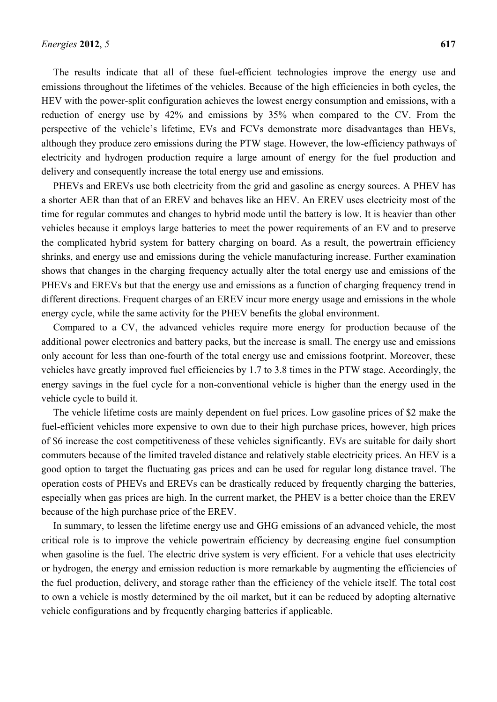The results indicate that all of these fuel-efficient technologies improve the energy use and emissions throughout the lifetimes of the vehicles. Because of the high efficiencies in both cycles, the HEV with the power-split configuration achieves the lowest energy consumption and emissions, with a reduction of energy use by 42% and emissions by 35% when compared to the CV. From the perspective of the vehicle's lifetime, EVs and FCVs demonstrate more disadvantages than HEVs, although they produce zero emissions during the PTW stage. However, the low-efficiency pathways of electricity and hydrogen production require a large amount of energy for the fuel production and delivery and consequently increase the total energy use and emissions.

PHEVs and EREVs use both electricity from the grid and gasoline as energy sources. A PHEV has a shorter AER than that of an EREV and behaves like an HEV. An EREV uses electricity most of the time for regular commutes and changes to hybrid mode until the battery is low. It is heavier than other vehicles because it employs large batteries to meet the power requirements of an EV and to preserve the complicated hybrid system for battery charging on board. As a result, the powertrain efficiency shrinks, and energy use and emissions during the vehicle manufacturing increase. Further examination shows that changes in the charging frequency actually alter the total energy use and emissions of the PHEVs and EREVs but that the energy use and emissions as a function of charging frequency trend in different directions. Frequent charges of an EREV incur more energy usage and emissions in the whole energy cycle, while the same activity for the PHEV benefits the global environment.

Compared to a CV, the advanced vehicles require more energy for production because of the additional power electronics and battery packs, but the increase is small. The energy use and emissions only account for less than one-fourth of the total energy use and emissions footprint. Moreover, these vehicles have greatly improved fuel efficiencies by 1.7 to 3.8 times in the PTW stage. Accordingly, the energy savings in the fuel cycle for a non-conventional vehicle is higher than the energy used in the vehicle cycle to build it.

The vehicle lifetime costs are mainly dependent on fuel prices. Low gasoline prices of \$2 make the fuel-efficient vehicles more expensive to own due to their high purchase prices, however, high prices of \$6 increase the cost competitiveness of these vehicles significantly. EVs are suitable for daily short commuters because of the limited traveled distance and relatively stable electricity prices. An HEV is a good option to target the fluctuating gas prices and can be used for regular long distance travel. The operation costs of PHEVs and EREVs can be drastically reduced by frequently charging the batteries, especially when gas prices are high. In the current market, the PHEV is a better choice than the EREV because of the high purchase price of the EREV.

In summary, to lessen the lifetime energy use and GHG emissions of an advanced vehicle, the most critical role is to improve the vehicle powertrain efficiency by decreasing engine fuel consumption when gasoline is the fuel. The electric drive system is very efficient. For a vehicle that uses electricity or hydrogen, the energy and emission reduction is more remarkable by augmenting the efficiencies of the fuel production, delivery, and storage rather than the efficiency of the vehicle itself. The total cost to own a vehicle is mostly determined by the oil market, but it can be reduced by adopting alternative vehicle configurations and by frequently charging batteries if applicable.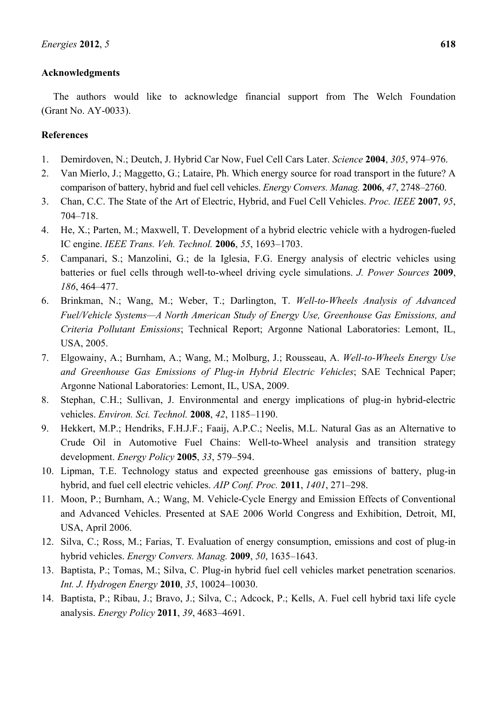## **Acknowledgments**

The authors would like to acknowledge financial support from The Welch Foundation (Grant No. AY-0033).

# **References**

- 1. Demirdoven, N.; Deutch, J. Hybrid Car Now, Fuel Cell Cars Later. *Science* **2004**, *305*, 974–976.
- 2. Van Mierlo, J.; Maggetto, G.; Lataire, Ph. Which energy source for road transport in the future? A comparison of battery, hybrid and fuel cell vehicles. *Energy Convers. Manag.* **2006**, *47*, 2748–2760.
- 3. Chan, C.C. The State of the Art of Electric, Hybrid, and Fuel Cell Vehicles. *Proc. IEEE* **2007**, *95*, 704–718.
- 4. He, X.; Parten, M.; Maxwell, T. Development of a hybrid electric vehicle with a hydrogen-fueled IC engine. *IEEE Trans. Veh. Technol.* **2006**, *55*, 1693–1703.
- 5. Campanari, S.; Manzolini, G.; de la Iglesia, F.G. Energy analysis of electric vehicles using batteries or fuel cells through well-to-wheel driving cycle simulations. *J. Power Sources* **2009**, *186*, 464–477.
- 6. Brinkman, N.; Wang, M.; Weber, T.; Darlington, T. *Well-to-Wheels Analysis of Advanced Fuel/Vehicle Systems—A North American Study of Energy Use, Greenhouse Gas Emissions, and Criteria Pollutant Emissions*; Technical Report; Argonne National Laboratories: Lemont, IL, USA, 2005.
- 7. Elgowainy, A.; Burnham, A.; Wang, M.; Molburg, J.; Rousseau, A. *Well-to-Wheels Energy Use and Greenhouse Gas Emissions of Plug-in Hybrid Electric Vehicles*; SAE Technical Paper; Argonne National Laboratories: Lemont, IL, USA, 2009.
- 8. Stephan, C.H.; Sullivan, J. Environmental and energy implications of plug-in hybrid-electric vehicles. *Environ. Sci. Technol.* **2008**, *42*, 1185–1190.
- 9. Hekkert, M.P.; Hendriks, F.H.J.F.; Faaij, A.P.C.; Neelis, M.L. Natural Gas as an Alternative to Crude Oil in Automotive Fuel Chains: Well-to-Wheel analysis and transition strategy development. *Energy Policy* **2005**, *33*, 579–594.
- 10. Lipman, T.E. Technology status and expected greenhouse gas emissions of battery, plug-in hybrid, and fuel cell electric vehicles. *AIP Conf. Proc.* **2011**, *1401*, 271–298.
- 11. Moon, P.; Burnham, A.; Wang, M. Vehicle-Cycle Energy and Emission Effects of Conventional and Advanced Vehicles. Presented at SAE 2006 World Congress and Exhibition, Detroit, MI, USA, April 2006.
- 12. Silva, C.; Ross, M.; Farias, T. Evaluation of energy consumption, emissions and cost of plug-in hybrid vehicles. *Energy Convers. Manag.* **2009**, *50*, 1635–1643.
- 13. Baptista, P.; Tomas, M.; Silva, C. Plug-in hybrid fuel cell vehicles market penetration scenarios. *Int. J. Hydrogen Energy* **2010**, *35*, 10024–10030.
- 14. Baptista, P.; Ribau, J.; Bravo, J.; Silva, C.; Adcock, P.; Kells, A. Fuel cell hybrid taxi life cycle analysis. *Energy Policy* **2011**, *39*, 4683–4691.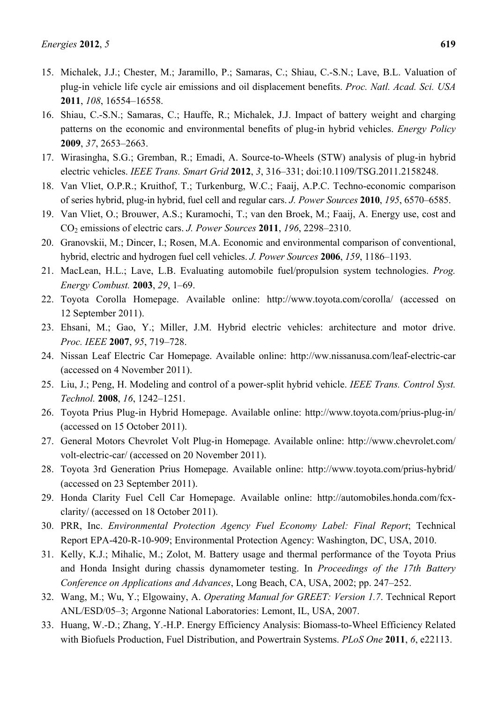- 15. Michalek, J.J.; Chester, M.; Jaramillo, P.; Samaras, C.; Shiau, C.-S.N.; Lave, B.L. Valuation of plug-in vehicle life cycle air emissions and oil displacement benefits. *Proc. Natl. Acad. Sci. USA* **2011**, *108*, 16554–16558.
- 16. Shiau, C.-S.N.; Samaras, C.; Hauffe, R.; Michalek, J.J. Impact of battery weight and charging patterns on the economic and environmental benefits of plug-in hybrid vehicles. *Energy Policy* **2009**, *37*, 2653–2663.
- 17. Wirasingha, S.G.; Gremban, R.; Emadi, A. Source-to-Wheels (STW) analysis of plug-in hybrid electric vehicles. *IEEE Trans. Smart Grid* **2012**, *3*, 316–331; doi:10.1109/TSG.2011.2158248.
- 18. Van Vliet, O.P.R.; Kruithof, T.; Turkenburg, W.C.; Faaij, A.P.C. Techno-economic comparison of series hybrid, plug-in hybrid, fuel cell and regular cars. *J. Power Sources* **2010**, *195*, 6570–6585.
- 19. Van Vliet, O.; Brouwer, A.S.; Kuramochi, T.; van den Broek, M.; Faaij, A. Energy use, cost and CO2 emissions of electric cars. *J. Power Sources* **2011**, *196*, 2298–2310.
- 20. Granovskii, M.; Dincer, I.; Rosen, M.A. Economic and environmental comparison of conventional, hybrid, electric and hydrogen fuel cell vehicles. *J. Power Sources* **2006**, *159*, 1186–1193.
- 21. MacLean, H.L.; Lave, L.B. Evaluating automobile fuel/propulsion system technologies. *Prog. Energy Combust.* **2003**, *29*, 1–69.
- 22. Toyota Corolla Homepage. Available online: http://www.toyota.com/corolla/ (accessed on 12 September 2011).
- 23. Ehsani, M.; Gao, Y.; Miller, J.M. Hybrid electric vehicles: architecture and motor drive. *Proc. IEEE* **2007**, *95*, 719–728.
- 24. Nissan Leaf Electric Car Homepage. Available online: http://ww.nissanusa.com/leaf-electric-car (accessed on 4 November 2011).
- 25. Liu, J.; Peng, H. Modeling and control of a power-split hybrid vehicle. *IEEE Trans. Control Syst. Technol.* **2008**, *16*, 1242–1251.
- 26. Toyota Prius Plug-in Hybrid Homepage. Available online: http://www.toyota.com/prius-plug-in/ (accessed on 15 October 2011).
- 27. General Motors Chevrolet Volt Plug-in Homepage. Available online: http://www.chevrolet.com/ volt-electric-car/ (accessed on 20 November 2011).
- 28. Toyota 3rd Generation Prius Homepage. Available online: http://www.toyota.com/prius-hybrid/ (accessed on 23 September 2011).
- 29. Honda Clarity Fuel Cell Car Homepage. Available online: http://automobiles.honda.com/fcxclarity/ (accessed on 18 October 2011).
- 30. PRR, Inc. *Environmental Protection Agency Fuel Economy Label: Final Report*; Technical Report EPA-420-R-10-909; Environmental Protection Agency: Washington, DC, USA, 2010.
- 31. Kelly, K.J.; Mihalic, M.; Zolot, M. Battery usage and thermal performance of the Toyota Prius and Honda Insight during chassis dynamometer testing. In *Proceedings of the 17th Battery Conference on Applications and Advances*, Long Beach, CA, USA, 2002; pp. 247–252.
- 32. Wang, M.; Wu, Y.; Elgowainy, A. *Operating Manual for GREET: Version 1.7*. Technical Report ANL/ESD/05–3; Argonne National Laboratories: Lemont, IL, USA, 2007.
- 33. Huang, W.-D.; Zhang, Y.-H.P. Energy Efficiency Analysis: Biomass-to-Wheel Efficiency Related with Biofuels Production, Fuel Distribution, and Powertrain Systems. *PLoS One* **2011**, *6*, e22113.